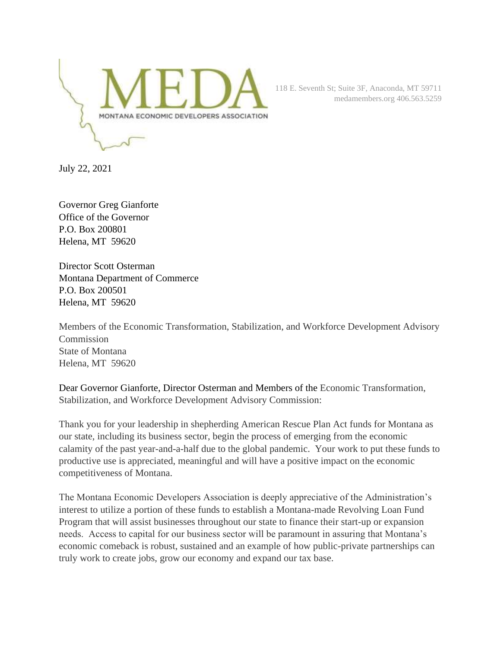

118 E. Seventh St; Suite 3F, Anaconda, MT 59711 medamembers.org 406.563.5259

July 22, 2021

Governor Greg Gianforte Office of the Governor P.O. Box 200801 Helena, MT 59620

Director Scott Osterman Montana Department of Commerce P.O. Box 200501 Helena, MT 59620

Members of the Economic Transformation, Stabilization, and Workforce Development Advisory **Commission** State of Montana Helena, MT 59620

Dear Governor Gianforte, Director Osterman and Members of the Economic Transformation, Stabilization, and Workforce Development Advisory Commission:

Thank you for your leadership in shepherding American Rescue Plan Act funds for Montana as our state, including its business sector, begin the process of emerging from the economic calamity of the past year-and-a-half due to the global pandemic. Your work to put these funds to productive use is appreciated, meaningful and will have a positive impact on the economic competitiveness of Montana.

The Montana Economic Developers Association is deeply appreciative of the Administration's interest to utilize a portion of these funds to establish a Montana-made Revolving Loan Fund Program that will assist businesses throughout our state to finance their start-up or expansion needs. Access to capital for our business sector will be paramount in assuring that Montana's economic comeback is robust, sustained and an example of how public-private partnerships can truly work to create jobs, grow our economy and expand our tax base.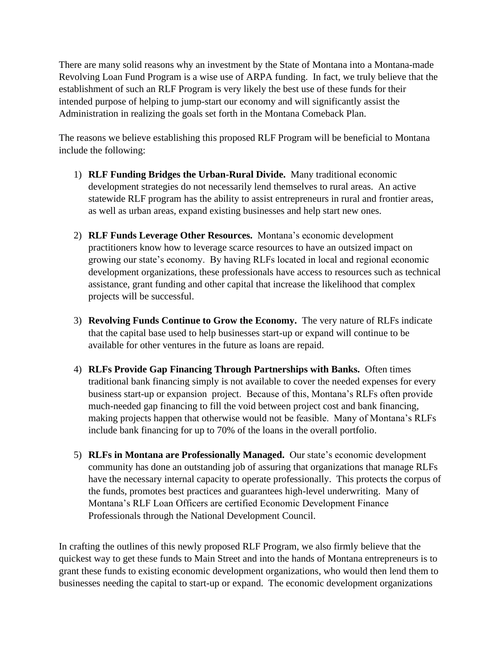There are many solid reasons why an investment by the State of Montana into a Montana-made Revolving Loan Fund Program is a wise use of ARPA funding. In fact, we truly believe that the establishment of such an RLF Program is very likely the best use of these funds for their intended purpose of helping to jump-start our economy and will significantly assist the Administration in realizing the goals set forth in the Montana Comeback Plan.

The reasons we believe establishing this proposed RLF Program will be beneficial to Montana include the following:

- 1) **RLF Funding Bridges the Urban-Rural Divide.** Many traditional economic development strategies do not necessarily lend themselves to rural areas. An active statewide RLF program has the ability to assist entrepreneurs in rural and frontier areas, as well as urban areas, expand existing businesses and help start new ones.
- 2) **RLF Funds Leverage Other Resources.** Montana's economic development practitioners know how to leverage scarce resources to have an outsized impact on growing our state's economy. By having RLFs located in local and regional economic development organizations, these professionals have access to resources such as technical assistance, grant funding and other capital that increase the likelihood that complex projects will be successful.
- 3) **Revolving Funds Continue to Grow the Economy.** The very nature of RLFs indicate that the capital base used to help businesses start-up or expand will continue to be available for other ventures in the future as loans are repaid.
- 4) **RLFs Provide Gap Financing Through Partnerships with Banks.** Often times traditional bank financing simply is not available to cover the needed expenses for every business start-up or expansion project. Because of this, Montana's RLFs often provide much-needed gap financing to fill the void between project cost and bank financing, making projects happen that otherwise would not be feasible. Many of Montana's RLFs include bank financing for up to 70% of the loans in the overall portfolio.
- 5) **RLFs in Montana are Professionally Managed.** Our state's economic development community has done an outstanding job of assuring that organizations that manage RLFs have the necessary internal capacity to operate professionally. This protects the corpus of the funds, promotes best practices and guarantees high-level underwriting. Many of Montana's RLF Loan Officers are certified Economic Development Finance Professionals through the National Development Council.

In crafting the outlines of this newly proposed RLF Program, we also firmly believe that the quickest way to get these funds to Main Street and into the hands of Montana entrepreneurs is to grant these funds to existing economic development organizations, who would then lend them to businesses needing the capital to start-up or expand. The economic development organizations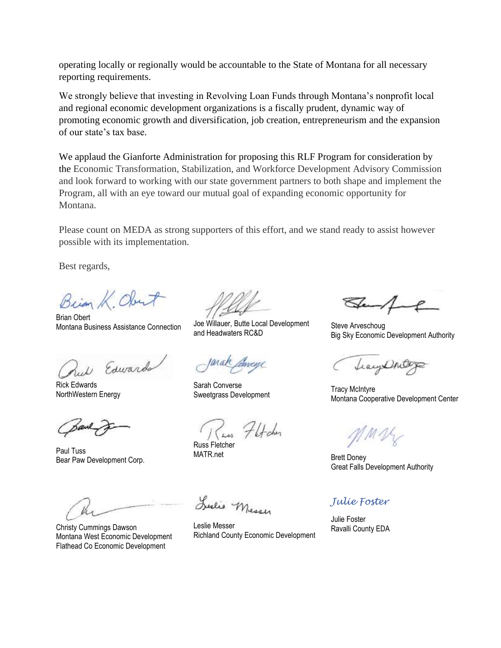operating locally or regionally would be accountable to the State of Montana for all necessary reporting requirements.

We strongly believe that investing in Revolving Loan Funds through Montana's nonprofit local and regional economic development organizations is a fiscally prudent, dynamic way of promoting economic growth and diversification, job creation, entrepreneurism and the expansion of our state's tax base.

We applaud the Gianforte Administration for proposing this RLF Program for consideration by the Economic Transformation, Stabilization, and Workforce Development Advisory Commission and look forward to working with our state government partners to both shape and implement the Program, all with an eye toward our mutual goal of expanding economic opportunity for Montana.

Please count on MEDA as strong supporters of this effort, and we stand ready to assist however possible with its implementation.

Best regards,

Brian K Obert

Brian Obert Montana Business Assistance Connection Joe Willauer, Butte Local Development

Rul Edwards

Rick Edwards NorthWestern Energy

Paul Tuss Bear Paw Development Corp.

Christy Cummings Dawson Montana West Economic Development Flathead Co Economic Development

and Headwaters RC&D

Sarah Converse Salah Converse<br>Sweetgrass Development Tracy Montone Coop

Flfcher

Russ Fletcher MATR.net Brett Doney

Leslie Messer

Leslie Messer Richland County Economic Development

Steve Arveschoug Big Sky Economic Development Authority

Leayert

Montana Cooperative Development Center

MV

Great Falls Development Authority

## *Julie Foster*

Julie Foster Ravalli County EDA